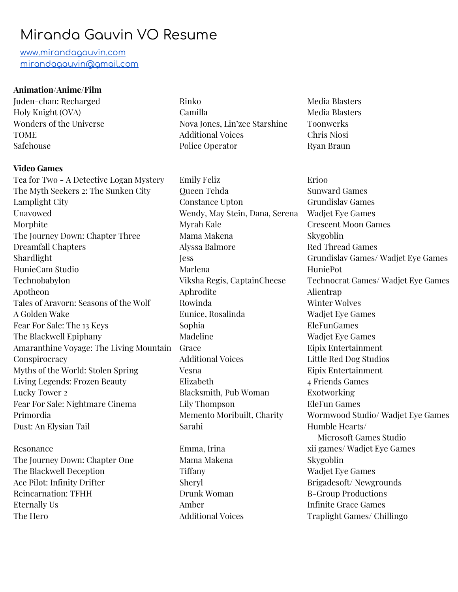## Miranda Gauvin VO Resume

[www.mirandagauvin.com](http://www.mirandagauvin.com/) [mirandagauvin@gmail.com](mailto:mirandagauvin@gmail.com)

## **Animation/Anime/Film**

Juden-chan: Recharged Holy Knight (OVA) Wonders of the Universe TOME Safehouse

## **Video Games**

Tea for Two - A Detective Logan Mystery The Myth Seekers 2: The Sunken City Lamplight City Unavowed Morphite The Journey Down: Chapter Three Dreamfall Chapters Shardlight HunieCam Studio Technobabylon Apotheon Tales of Aravorn: Seasons of the Wolf A Golden Wake Fear For Sale: The 13 Keys The Blackwell Epiphany Amaranthine Voyage: The Living Mountain **Conspirocracy** Myths of the World: Stolen Spring Living Legends: Frozen Beauty Lucky Tower 2 Fear For Sale: Nightmare Cinema Primordia Dust: An Elysian Tail

Resonance The Journey Down: Chapter One The Blackwell Deception Ace Pilot: Infinity Drifter Reincarnation: TFHH Eternally Us The Hero

Rinko Camilla Nova Jones, Lin'zee Starshine Additional Voices Police Operator

Emily Feliz Queen Tehda Constance Upton Wendy, May Stein, Dana, Serena Myrah Kale Mama Makena Alyssa Balmore Jess Marlena Viksha Regis, CaptainCheese Aphrodite Rowinda Eunice, Rosalinda Sophia Madeline Grace Additional Voices Vesna Elizabeth Blacksmith, Pub Woman Lily Thompson Memento Moribuilt, Charity Sarahi

Emma, Irina Mama Makena Tiffany Sheryl Drunk Woman Amber Additional Voices Media Blasters Media Blasters Toonwerks Chris Niosi Ryan Braun

Erioo Sunward Games Grundislav Games Wadjet Eye Games Crescent Moon Games Skygoblin Red Thread Games Grundislav Games/ Wadjet Eye Games HuniePot Technocrat Games/ Wadjet Eye Games Alientrap Winter Wolves Wadjet Eye Games EleFunGames Wadjet Eye Games Eipix Entertainment Little Red Dog Studios Eipix Entertainment 4 Friends Games Exotworking EleFun Games Wormwood Studio/ Wadjet Eye Games Humble Hearts/ Microsoft Games Studio xii games/ Wadjet Eye Games Skygoblin Wadjet Eye Games Brigadesoft/ Newgrounds B-Group Productions Infinite Grace Games Traplight Games/ Chillingo